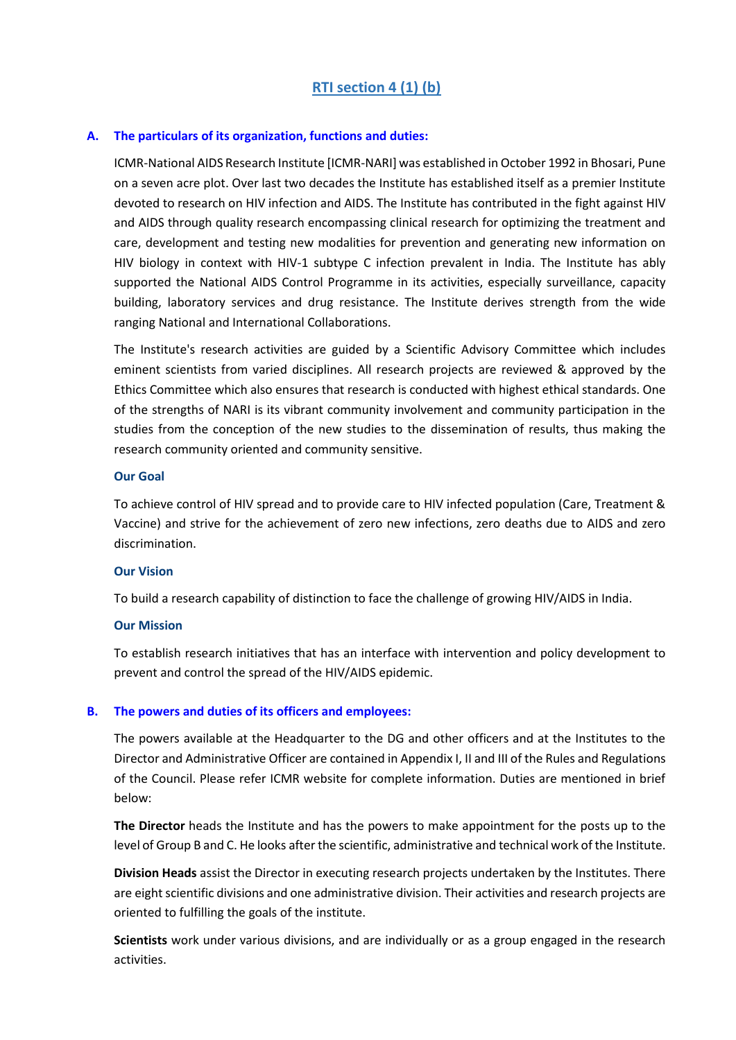## **A. The particulars of its organization, functions and duties:**

ICMR-National AIDS Research Institute [ICMR-NARI] was established in October 1992 in Bhosari, Pune on a seven acre plot. Over last two decades the Institute has established itself as a premier Institute devoted to research on HIV infection and AIDS. The Institute has contributed in the fight against HIV and AIDS through quality research encompassing clinical research for optimizing the treatment and care, development and testing new modalities for prevention and generating new information on HIV biology in context with HIV-1 subtype C infection prevalent in India. The Institute has ably supported the National AIDS Control Programme in its activities, especially surveillance, capacity building, laboratory services and drug resistance. The Institute derives strength from the wide ranging National and International Collaborations.

The Institute's research activities are guided by a Scientific Advisory Committee which includes eminent scientists from varied disciplines. All research projects are reviewed & approved by the Ethics Committee which also ensures that research is conducted with highest ethical standards. One of the strengths of NARI is its vibrant community involvement and community participation in the studies from the conception of the new studies to the dissemination of results, thus making the research community oriented and community sensitive.

### **Our Goal**

To achieve control of HIV spread and to provide care to HIV infected population (Care, Treatment & Vaccine) and strive for the achievement of zero new infections, zero deaths due to AIDS and zero discrimination.

# **Our Vision**

To build a research capability of distinction to face the challenge of growing HIV/AIDS in India.

### **Our Mission**

To establish research initiatives that has an interface with intervention and policy development to prevent and control the spread of the HIV/AIDS epidemic.

# **B. The powers and duties of its officers and employees:**

The powers available at the Headquarter to the DG and other officers and at the Institutes to the Director and Administrative Officer are contained in Appendix I, II and III of the Rules and Regulations of the Council. Please refer ICMR website for complete information. Duties are mentioned in brief below:

**The Director** heads the Institute and has the powers to make appointment for the posts up to the level of Group B and C. He looks after the scientific, administrative and technical work of the Institute.

**Division Heads** assist the Director in executing research projects undertaken by the Institutes. There are eight scientific divisions and one administrative division. Their activities and research projects are oriented to fulfilling the goals of the institute.

**Scientists** work under various divisions, and are individually or as a group engaged in the research activities.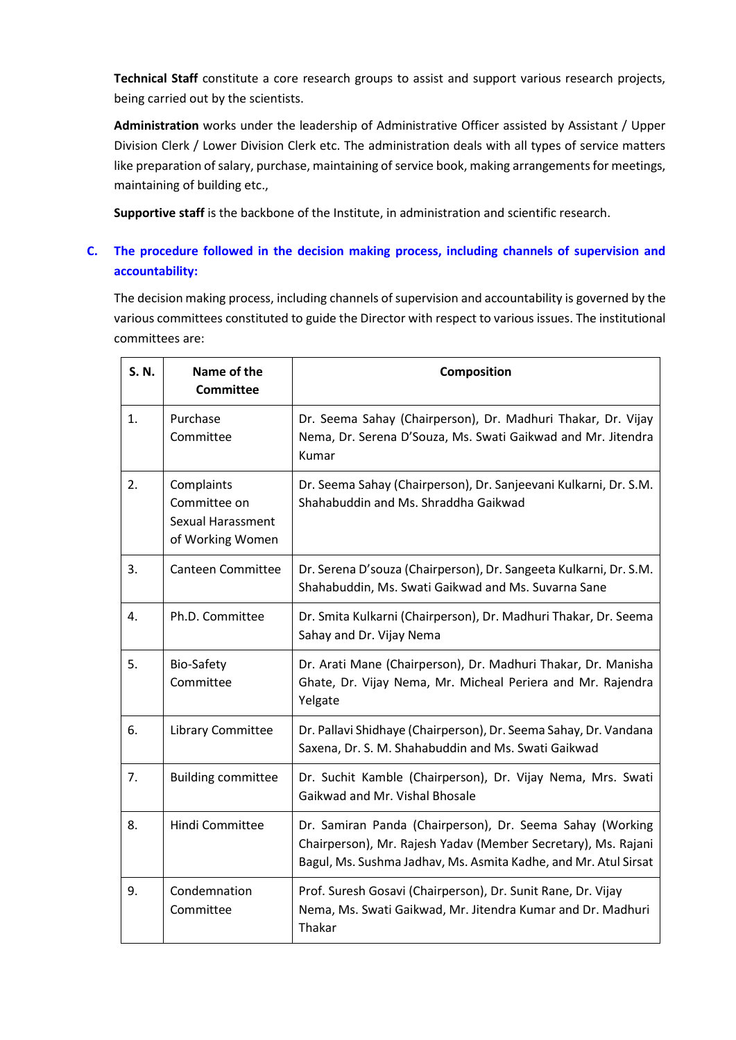**Technical Staff** constitute a core research groups to assist and support various research projects, being carried out by the scientists.

**Administration** works under the leadership of Administrative Officer assisted by Assistant / Upper Division Clerk / Lower Division Clerk etc. The administration deals with all types of service matters like preparation of salary, purchase, maintaining of service book, making arrangements for meetings, maintaining of building etc.,

**Supportive staff** is the backbone of the Institute, in administration and scientific research.

# **C. The procedure followed in the decision making process, including channels of supervision and accountability:**

The decision making process, including channels of supervision and accountability is governed by the various committees constituted to guide the Director with respect to various issues. The institutional committees are:

| S. N. | Name of the<br><b>Committee</b>                                            | Composition                                                                                                                                                                                   |
|-------|----------------------------------------------------------------------------|-----------------------------------------------------------------------------------------------------------------------------------------------------------------------------------------------|
| 1.    | Purchase<br>Committee                                                      | Dr. Seema Sahay (Chairperson), Dr. Madhuri Thakar, Dr. Vijay<br>Nema, Dr. Serena D'Souza, Ms. Swati Gaikwad and Mr. Jitendra<br>Kumar                                                         |
| 2.    | Complaints<br>Committee on<br><b>Sexual Harassment</b><br>of Working Women | Dr. Seema Sahay (Chairperson), Dr. Sanjeevani Kulkarni, Dr. S.M.<br>Shahabuddin and Ms. Shraddha Gaikwad                                                                                      |
| 3.    | <b>Canteen Committee</b>                                                   | Dr. Serena D'souza (Chairperson), Dr. Sangeeta Kulkarni, Dr. S.M.<br>Shahabuddin, Ms. Swati Gaikwad and Ms. Suvarna Sane                                                                      |
| 4.    | Ph.D. Committee                                                            | Dr. Smita Kulkarni (Chairperson), Dr. Madhuri Thakar, Dr. Seema<br>Sahay and Dr. Vijay Nema                                                                                                   |
| 5.    | Bio-Safety<br>Committee                                                    | Dr. Arati Mane (Chairperson), Dr. Madhuri Thakar, Dr. Manisha<br>Ghate, Dr. Vijay Nema, Mr. Micheal Periera and Mr. Rajendra<br>Yelgate                                                       |
| 6.    | Library Committee                                                          | Dr. Pallavi Shidhaye (Chairperson), Dr. Seema Sahay, Dr. Vandana<br>Saxena, Dr. S. M. Shahabuddin and Ms. Swati Gaikwad                                                                       |
| 7.    | <b>Building committee</b>                                                  | Dr. Suchit Kamble (Chairperson), Dr. Vijay Nema, Mrs. Swati<br>Gaikwad and Mr. Vishal Bhosale                                                                                                 |
| 8.    | Hindi Committee                                                            | Dr. Samiran Panda (Chairperson), Dr. Seema Sahay (Working<br>Chairperson), Mr. Rajesh Yadav (Member Secretary), Ms. Rajani<br>Bagul, Ms. Sushma Jadhav, Ms. Asmita Kadhe, and Mr. Atul Sirsat |
| 9.    | Condemnation<br>Committee                                                  | Prof. Suresh Gosavi (Chairperson), Dr. Sunit Rane, Dr. Vijay<br>Nema, Ms. Swati Gaikwad, Mr. Jitendra Kumar and Dr. Madhuri<br>Thakar                                                         |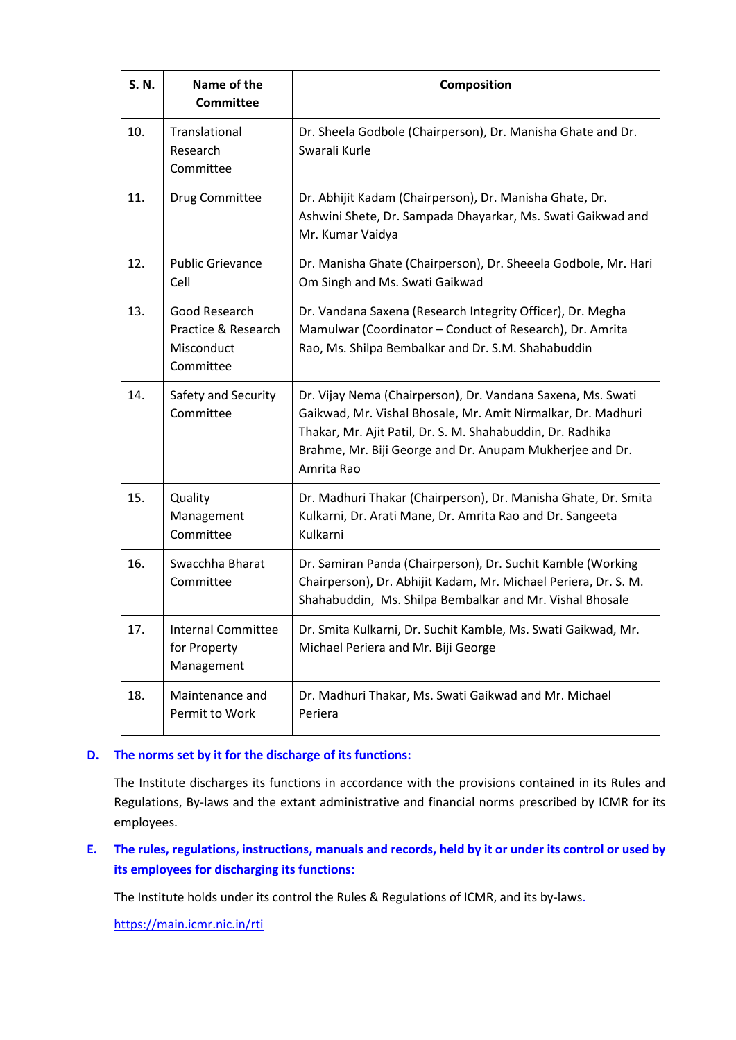| S. N. | Name of the<br><b>Committee</b>                                 | Composition                                                                                                                                                                                                                                                         |
|-------|-----------------------------------------------------------------|---------------------------------------------------------------------------------------------------------------------------------------------------------------------------------------------------------------------------------------------------------------------|
| 10.   | Translational<br>Research<br>Committee                          | Dr. Sheela Godbole (Chairperson), Dr. Manisha Ghate and Dr.<br>Swarali Kurle                                                                                                                                                                                        |
| 11.   | Drug Committee                                                  | Dr. Abhijit Kadam (Chairperson), Dr. Manisha Ghate, Dr.<br>Ashwini Shete, Dr. Sampada Dhayarkar, Ms. Swati Gaikwad and<br>Mr. Kumar Vaidya                                                                                                                          |
| 12.   | <b>Public Grievance</b><br>Cell                                 | Dr. Manisha Ghate (Chairperson), Dr. Sheeela Godbole, Mr. Hari<br>Om Singh and Ms. Swati Gaikwad                                                                                                                                                                    |
| 13.   | Good Research<br>Practice & Research<br>Misconduct<br>Committee | Dr. Vandana Saxena (Research Integrity Officer), Dr. Megha<br>Mamulwar (Coordinator - Conduct of Research), Dr. Amrita<br>Rao, Ms. Shilpa Bembalkar and Dr. S.M. Shahabuddin                                                                                        |
| 14.   | Safety and Security<br>Committee                                | Dr. Vijay Nema (Chairperson), Dr. Vandana Saxena, Ms. Swati<br>Gaikwad, Mr. Vishal Bhosale, Mr. Amit Nirmalkar, Dr. Madhuri<br>Thakar, Mr. Ajit Patil, Dr. S. M. Shahabuddin, Dr. Radhika<br>Brahme, Mr. Biji George and Dr. Anupam Mukherjee and Dr.<br>Amrita Rao |
| 15.   | Quality<br>Management<br>Committee                              | Dr. Madhuri Thakar (Chairperson), Dr. Manisha Ghate, Dr. Smita<br>Kulkarni, Dr. Arati Mane, Dr. Amrita Rao and Dr. Sangeeta<br>Kulkarni                                                                                                                             |
| 16.   | Swacchha Bharat<br>Committee                                    | Dr. Samiran Panda (Chairperson), Dr. Suchit Kamble (Working<br>Chairperson), Dr. Abhijit Kadam, Mr. Michael Periera, Dr. S. M.<br>Shahabuddin, Ms. Shilpa Bembalkar and Mr. Vishal Bhosale                                                                          |
| 17.   | <b>Internal Committee</b><br>for Property<br>Management         | Dr. Smita Kulkarni, Dr. Suchit Kamble, Ms. Swati Gaikwad, Mr.<br>Michael Periera and Mr. Biji George                                                                                                                                                                |
| 18.   | Maintenance and<br>Permit to Work                               | Dr. Madhuri Thakar, Ms. Swati Gaikwad and Mr. Michael<br>Periera                                                                                                                                                                                                    |

# **D. The norms set by it for the discharge of its functions:**

The Institute discharges its functions in accordance with the provisions contained in its Rules and Regulations, By-laws and the extant administrative and financial norms prescribed by ICMR for its employees.

**E. The rules, regulations, instructions, manuals and records, held by it or under its control or used by its employees for discharging its functions:**

The Institute holds under its control the Rules & Regulations of ICMR, and its by-laws.

<https://main.icmr.nic.in/rti>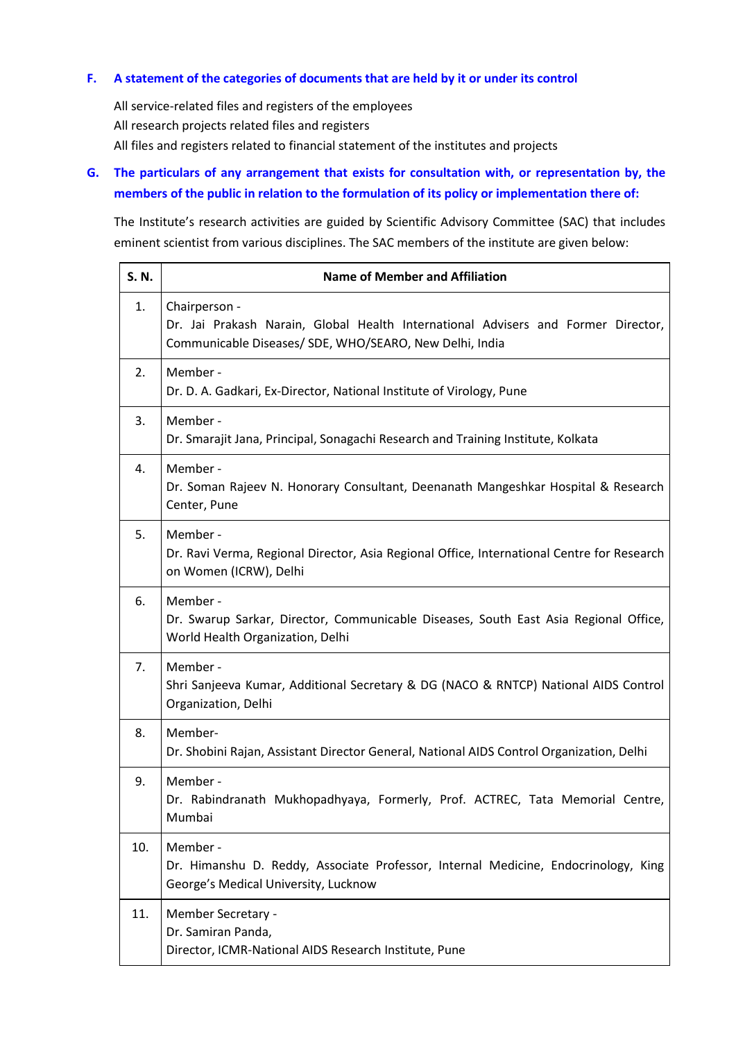# **F. A statement of the categories of documents that are held by it or under its control**

All service-related files and registers of the employees All research projects related files and registers All files and registers related to financial statement of the institutes and projects

# **G. The particulars of any arrangement that exists for consultation with, or representation by, the members of the public in relation to the formulation of its policy or implementation there of:**

The Institute's research activities are guided by Scientific Advisory Committee (SAC) that includes eminent scientist from various disciplines. The SAC members of the institute are given below:

| S. N. | <b>Name of Member and Affiliation</b>                                                                                                                         |
|-------|---------------------------------------------------------------------------------------------------------------------------------------------------------------|
| 1.    | Chairperson -<br>Dr. Jai Prakash Narain, Global Health International Advisers and Former Director,<br>Communicable Diseases/ SDE, WHO/SEARO, New Delhi, India |
| 2.    | Member -<br>Dr. D. A. Gadkari, Ex-Director, National Institute of Virology, Pune                                                                              |
| 3.    | Member -<br>Dr. Smarajit Jana, Principal, Sonagachi Research and Training Institute, Kolkata                                                                  |
| 4.    | Member -<br>Dr. Soman Rajeev N. Honorary Consultant, Deenanath Mangeshkar Hospital & Research<br>Center, Pune                                                 |
| 5.    | Member -<br>Dr. Ravi Verma, Regional Director, Asia Regional Office, International Centre for Research<br>on Women (ICRW), Delhi                              |
| 6.    | Member -<br>Dr. Swarup Sarkar, Director, Communicable Diseases, South East Asia Regional Office,<br>World Health Organization, Delhi                          |
| 7.    | Member -<br>Shri Sanjeeva Kumar, Additional Secretary & DG (NACO & RNTCP) National AIDS Control<br>Organization, Delhi                                        |
| 8.    | Member-<br>Dr. Shobini Rajan, Assistant Director General, National AIDS Control Organization, Delhi                                                           |
| 9.    | Member -<br>Dr. Rabindranath Mukhopadhyaya, Formerly, Prof. ACTREC, Tata Memorial Centre,<br>Mumbai                                                           |
| 10.   | Member -<br>Dr. Himanshu D. Reddy, Associate Professor, Internal Medicine, Endocrinology, King<br>George's Medical University, Lucknow                        |
| 11.   | Member Secretary -<br>Dr. Samiran Panda,<br>Director, ICMR-National AIDS Research Institute, Pune                                                             |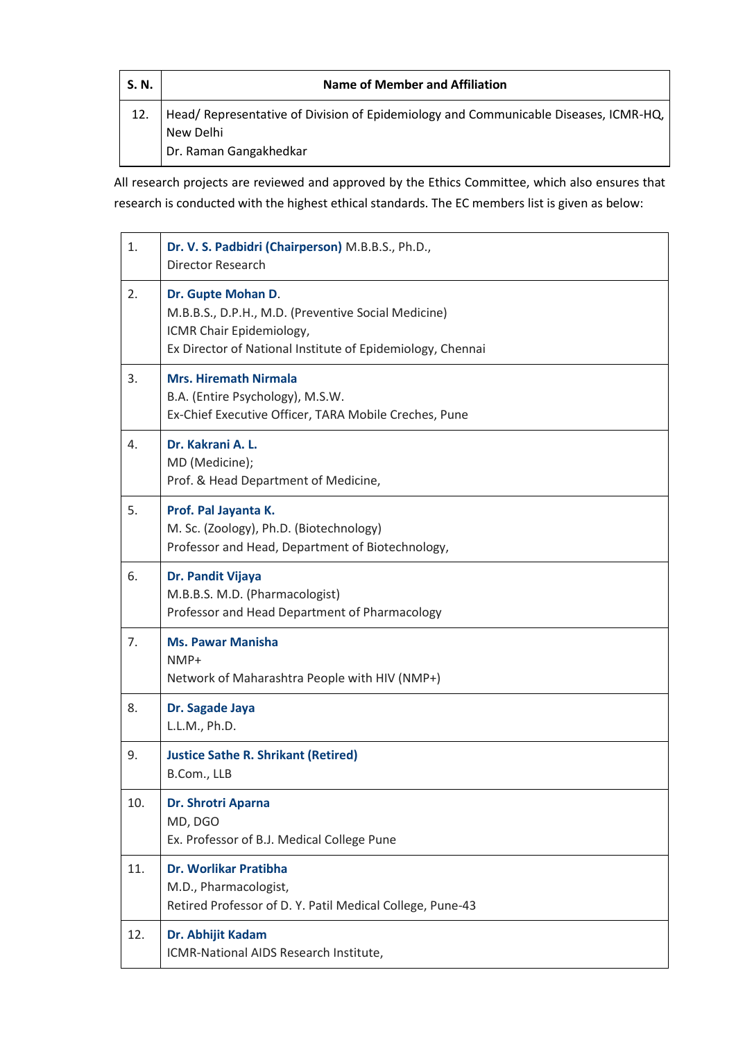| S. N. | Name of Member and Affiliation                                                                   |
|-------|--------------------------------------------------------------------------------------------------|
|       | Head/Representative of Division of Epidemiology and Communicable Diseases, ICMR-HQ,<br>New Delhi |
|       | Dr. Raman Gangakhedkar                                                                           |

All research projects are reviewed and approved by the Ethics Committee, which also ensures that research is conducted with the highest ethical standards. The EC members list is given as below:

| 1.  | Dr. V. S. Padbidri (Chairperson) M.B.B.S., Ph.D.,<br>Director Research                                                                                              |
|-----|---------------------------------------------------------------------------------------------------------------------------------------------------------------------|
| 2.  | Dr. Gupte Mohan D.<br>M.B.B.S., D.P.H., M.D. (Preventive Social Medicine)<br>ICMR Chair Epidemiology,<br>Ex Director of National Institute of Epidemiology, Chennai |
| 3.  | <b>Mrs. Hiremath Nirmala</b><br>B.A. (Entire Psychology), M.S.W.<br>Ex-Chief Executive Officer, TARA Mobile Creches, Pune                                           |
| 4.  | Dr. Kakrani A. L.<br>MD (Medicine);<br>Prof. & Head Department of Medicine,                                                                                         |
| 5.  | Prof. Pal Jayanta K.<br>M. Sc. (Zoology), Ph.D. (Biotechnology)<br>Professor and Head, Department of Biotechnology,                                                 |
| 6.  | Dr. Pandit Vijaya<br>M.B.B.S. M.D. (Pharmacologist)<br>Professor and Head Department of Pharmacology                                                                |
| 7.  | <b>Ms. Pawar Manisha</b><br>NMP+<br>Network of Maharashtra People with HIV (NMP+)                                                                                   |
| 8.  | Dr. Sagade Jaya<br>L.L.M., Ph.D.                                                                                                                                    |
| 9.  | <b>Justice Sathe R. Shrikant (Retired)</b><br>B.Com., LLB                                                                                                           |
| 10. | Dr. Shrotri Aparna<br>MD, DGO<br>Ex. Professor of B.J. Medical College Pune                                                                                         |
| 11. | Dr. Worlikar Pratibha<br>M.D., Pharmacologist,<br>Retired Professor of D. Y. Patil Medical College, Pune-43                                                         |
| 12. | Dr. Abhijit Kadam<br>ICMR-National AIDS Research Institute,                                                                                                         |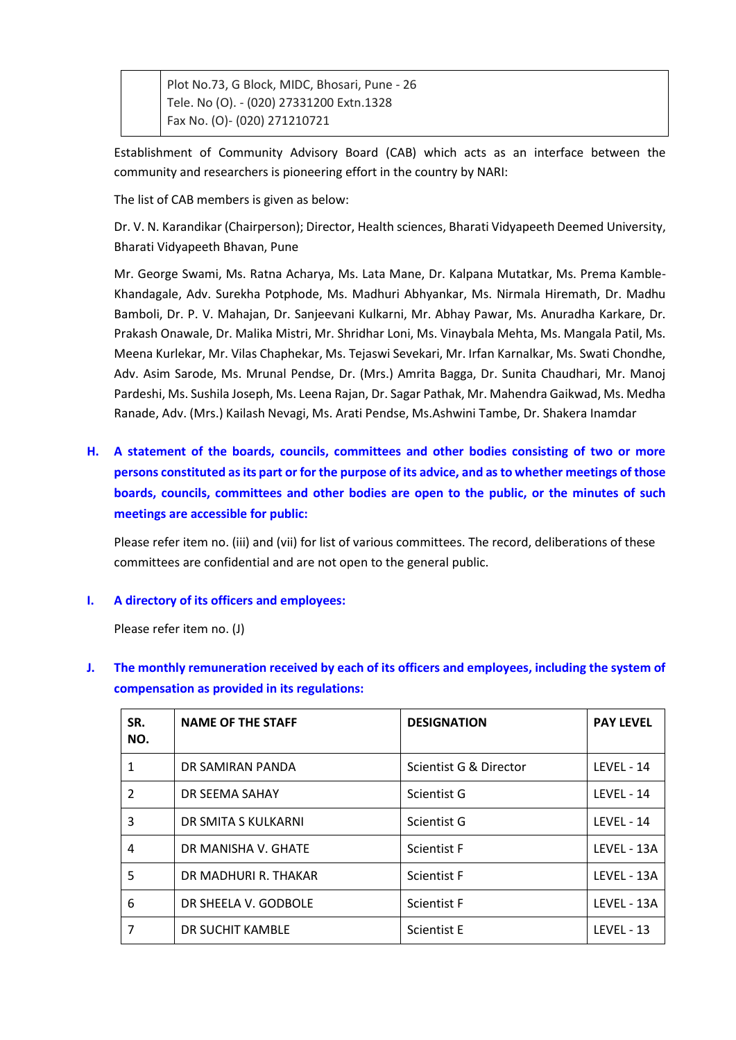Plot No.73, G Block, MIDC, Bhosari, Pune - 26 Tele. No (O). - (020) 27331200 Extn.1328 Fax No. (O)- (020) 271210721

Establishment of Community Advisory Board (CAB) which acts as an interface between the community and researchers is pioneering effort in the country by NARI:

The list of CAB members is given as below:

Dr. V. N. Karandikar (Chairperson); Director, Health sciences, Bharati Vidyapeeth Deemed University, Bharati Vidyapeeth Bhavan, Pune

Mr. George Swami, Ms. Ratna Acharya, Ms. Lata Mane, Dr. Kalpana Mutatkar, Ms. Prema Kamble-Khandagale, Adv. Surekha Potphode, Ms. Madhuri Abhyankar, Ms. Nirmala Hiremath, Dr. Madhu Bamboli, Dr. P. V. Mahajan, Dr. Sanjeevani Kulkarni, Mr. Abhay Pawar, Ms. Anuradha Karkare, Dr. Prakash Onawale, Dr. Malika Mistri, Mr. Shridhar Loni, Ms. Vinaybala Mehta, Ms. Mangala Patil, Ms. Meena Kurlekar, Mr. Vilas Chaphekar, Ms. Tejaswi Sevekari, Mr. Irfan Karnalkar, Ms. Swati Chondhe, Adv. Asim Sarode, Ms. Mrunal Pendse, Dr. (Mrs.) Amrita Bagga, Dr. Sunita Chaudhari, Mr. Manoj Pardeshi, Ms. Sushila Joseph, Ms. Leena Rajan, Dr. Sagar Pathak, Mr. Mahendra Gaikwad, Ms. Medha Ranade, Adv. (Mrs.) Kailash Nevagi, Ms. Arati Pendse, Ms.Ashwini Tambe, Dr. Shakera Inamdar

**H. A statement of the boards, councils, committees and other bodies consisting of two or more persons constituted as its part or for the purpose of its advice, and as to whether meetings of those boards, councils, committees and other bodies are open to the public, or the minutes of such meetings are accessible for public:**

Please refer item no. (iii) and (vii) for list of various committees. The record, deliberations of these committees are confidential and are not open to the general public.

### **I. A directory of its officers and employees:**

Please refer item no. (J)

**J. The monthly remuneration received by each of its officers and employees, including the system of compensation as provided in its regulations:**

| SR.<br>NO.    | <b>NAME OF THE STAFF</b> | <b>DESIGNATION</b>     | <b>PAY LEVEL</b>  |
|---------------|--------------------------|------------------------|-------------------|
| 1             | DR SAMIRAN PANDA         | Scientist G & Director | LEVEL - 14        |
| $\mathcal{P}$ | DR SEEMA SAHAY           | Scientist G            | <b>LEVEL - 14</b> |
| 3             | DR SMITA S KULKARNI      | Scientist G            | LEVEL - 14        |
| 4             | DR MANISHA V. GHATE      | <b>Scientist F</b>     | LEVEL - 13A       |
| 5             | DR MADHURI R. THAKAR     | <b>Scientist F</b>     | LEVEL - 13A       |
| 6             | DR SHEELA V. GODBOLE     | <b>Scientist F</b>     | LEVEL - 13A       |
| 7             | DR SUCHIT KAMBLE         | <b>Scientist E</b>     | <b>LEVEL - 13</b> |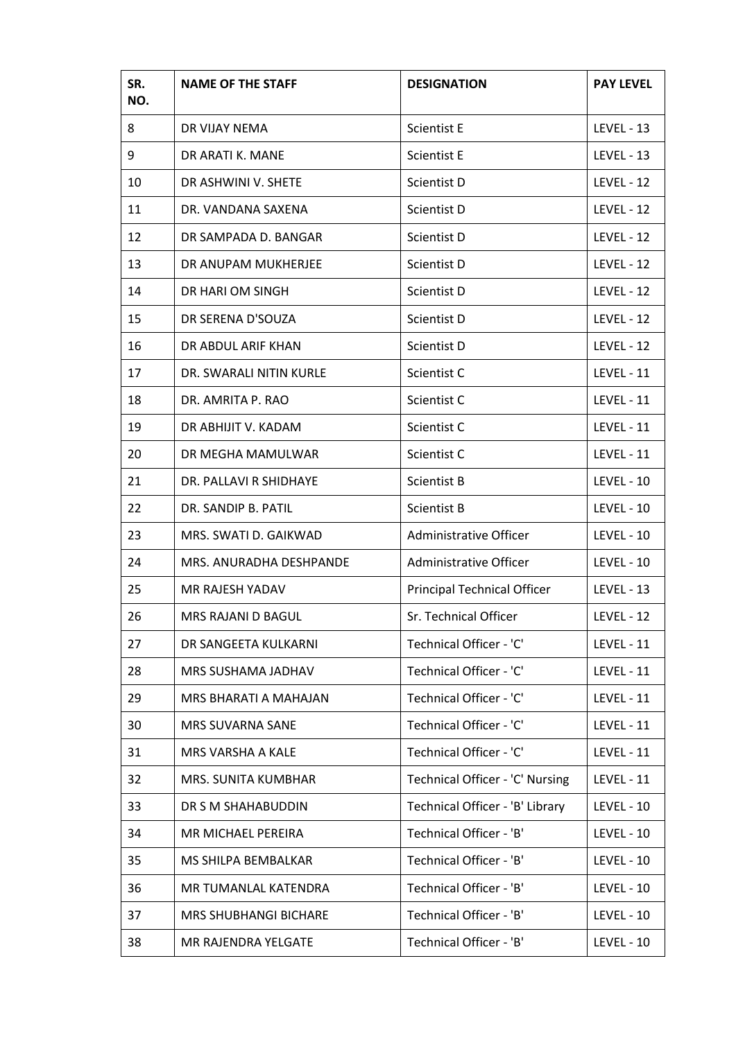| SR.<br>NO. | <b>NAME OF THE STAFF</b>     | <b>DESIGNATION</b>                 | <b>PAY LEVEL</b>  |
|------------|------------------------------|------------------------------------|-------------------|
| 8          | DR VIJAY NEMA                | <b>Scientist E</b>                 | <b>LEVEL - 13</b> |
| 9          | DR ARATI K. MANE             | Scientist E                        | <b>LEVEL - 13</b> |
| 10         | DR ASHWINI V. SHETE          | Scientist D                        | <b>LEVEL - 12</b> |
| 11         | DR. VANDANA SAXENA           | Scientist D                        | <b>LEVEL - 12</b> |
| 12         | DR SAMPADA D. BANGAR         | Scientist D                        | <b>LEVEL - 12</b> |
| 13         | DR ANUPAM MUKHERJEE          | Scientist D                        | <b>LEVEL - 12</b> |
| 14         | DR HARI OM SINGH             | Scientist D                        | <b>LEVEL - 12</b> |
| 15         | DR SERENA D'SOUZA            | Scientist D                        | <b>LEVEL - 12</b> |
| 16         | DR ABDUL ARIF KHAN           | Scientist D                        | <b>LEVEL - 12</b> |
| 17         | DR. SWARALI NITIN KURLE      | Scientist C                        | <b>LEVEL - 11</b> |
| 18         | DR. AMRITA P. RAO            | Scientist C                        | <b>LEVEL - 11</b> |
| 19         | DR ABHIJIT V. KADAM          | Scientist C                        | LEVEL - 11        |
| 20         | DR MEGHA MAMULWAR            | Scientist C                        | <b>LEVEL - 11</b> |
| 21         | DR. PALLAVI R SHIDHAYE       | Scientist B                        | <b>LEVEL - 10</b> |
| 22         | DR. SANDIP B. PATIL          | Scientist B                        | <b>LEVEL - 10</b> |
| 23         | MRS. SWATI D. GAIKWAD        | Administrative Officer             | <b>LEVEL - 10</b> |
| 24         | MRS. ANURADHA DESHPANDE      | Administrative Officer             | <b>LEVEL - 10</b> |
| 25         | MR RAJESH YADAV              | <b>Principal Technical Officer</b> | <b>LEVEL - 13</b> |
| 26         | MRS RAJANI D BAGUL           | Sr. Technical Officer              | LEVEL - 12        |
| 27         | DR SANGEETA KULKARNI         | Technical Officer - 'C'            | <b>LEVEL - 11</b> |
| 28         | MRS SUSHAMA JADHAV           | Technical Officer - 'C'            | <b>LEVEL - 11</b> |
| 29         | MRS BHARATI A MAHAJAN        | Technical Officer - 'C'            | <b>LEVEL - 11</b> |
| 30         | <b>MRS SUVARNA SANE</b>      | Technical Officer - 'C'            | <b>LEVEL - 11</b> |
| 31         | MRS VARSHA A KALE            | Technical Officer - 'C'            | <b>LEVEL - 11</b> |
| 32         | MRS. SUNITA KUMBHAR          | Technical Officer - 'C' Nursing    | <b>LEVEL - 11</b> |
| 33         | DR S M SHAHABUDDIN           | Technical Officer - 'B' Library    | <b>LEVEL - 10</b> |
| 34         | MR MICHAEL PEREIRA           | Technical Officer - 'B'            | <b>LEVEL - 10</b> |
| 35         | MS SHILPA BEMBALKAR          | Technical Officer - 'B'            | <b>LEVEL - 10</b> |
| 36         | MR TUMANLAL KATENDRA         | Technical Officer - 'B'            | <b>LEVEL - 10</b> |
| 37         | <b>MRS SHUBHANGI BICHARE</b> | Technical Officer - 'B'            | <b>LEVEL - 10</b> |
| 38         | MR RAJENDRA YELGATE          | Technical Officer - 'B'            | <b>LEVEL - 10</b> |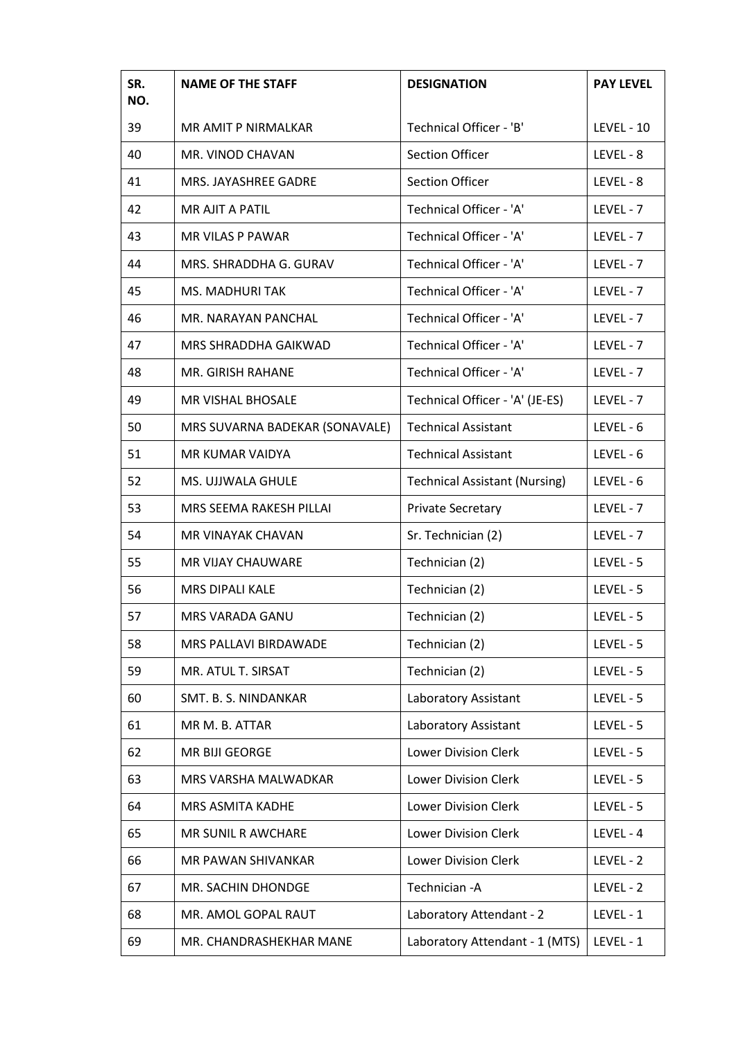| SR.<br>NO. | <b>NAME OF THE STAFF</b>       | <b>DESIGNATION</b>                   | <b>PAY LEVEL</b>  |
|------------|--------------------------------|--------------------------------------|-------------------|
| 39         | MR AMIT P NIRMALKAR            | Technical Officer - 'B'              | <b>LEVEL - 10</b> |
| 40         | MR. VINOD CHAVAN               | <b>Section Officer</b>               | LEVEL - 8         |
| 41         | MRS. JAYASHREE GADRE           | <b>Section Officer</b>               | LEVEL - 8         |
| 42         | MR AJIT A PATIL                | Technical Officer - 'A'              | LEVEL - 7         |
| 43         | <b>MR VILAS P PAWAR</b>        | Technical Officer - 'A'              | LEVEL - 7         |
| 44         | MRS. SHRADDHA G. GURAV         | Technical Officer - 'A'              | LEVEL - 7         |
| 45         | <b>MS. MADHURI TAK</b>         | Technical Officer - 'A'              | LEVEL - 7         |
| 46         | MR. NARAYAN PANCHAL            | Technical Officer - 'A'              | LEVEL - 7         |
| 47         | <b>MRS SHRADDHA GAIKWAD</b>    | Technical Officer - 'A'              | LEVEL - 7         |
| 48         | MR. GIRISH RAHANE              | Technical Officer - 'A'              | LEVEL - 7         |
| 49         | <b>MR VISHAL BHOSALE</b>       | Technical Officer - 'A' (JE-ES)      | LEVEL - 7         |
| 50         | MRS SUVARNA BADEKAR (SONAVALE) | <b>Technical Assistant</b>           | LEVEL - 6         |
| 51         | MR KUMAR VAIDYA                | <b>Technical Assistant</b>           | LEVEL - 6         |
| 52         | MS. UJJWALA GHULE              | <b>Technical Assistant (Nursing)</b> | $LEVEL - 6$       |
| 53         | MRS SEEMA RAKESH PILLAI        | <b>Private Secretary</b>             | LEVEL - 7         |
| 54         | MR VINAYAK CHAVAN              | Sr. Technician (2)                   | LEVEL - 7         |
| 55         | <b>MR VIJAY CHAUWARE</b>       | Technician (2)                       | LEVEL - 5         |
| 56         | <b>MRS DIPALI KALE</b>         | Technician (2)                       | LEVEL - 5         |
| 57         | <b>MRS VARADA GANU</b>         | Technician (2)                       | LEVEL - 5         |
| 58         | MRS PALLAVI BIRDAWADE          | Technician (2)                       | LEVEL - 5         |
| 59         | MR. ATUL T. SIRSAT             | Technician (2)                       | LEVEL - 5         |
| 60         | SMT. B. S. NINDANKAR           | Laboratory Assistant                 | LEVEL - 5         |
| 61         | MR M. B. ATTAR                 | Laboratory Assistant                 | LEVEL - 5         |
| 62         | MR BIJI GEORGE                 | <b>Lower Division Clerk</b>          | LEVEL - 5         |
| 63         | MRS VARSHA MALWADKAR           | <b>Lower Division Clerk</b>          | LEVEL - 5         |
| 64         | MRS ASMITA KADHE               | <b>Lower Division Clerk</b>          | LEVEL - 5         |
| 65         | <b>MR SUNIL R AWCHARE</b>      | <b>Lower Division Clerk</b>          | LEVEL - 4         |
| 66         | <b>MR PAWAN SHIVANKAR</b>      | <b>Lower Division Clerk</b>          | LEVEL - 2         |
| 67         | MR. SACHIN DHONDGE             | Technician - A                       | LEVEL - 2         |
| 68         | MR. AMOL GOPAL RAUT            | Laboratory Attendant - 2             | LEVEL - 1         |
| 69         | MR. CHANDRASHEKHAR MANE        | Laboratory Attendant - 1 (MTS)       | LEVEL - 1         |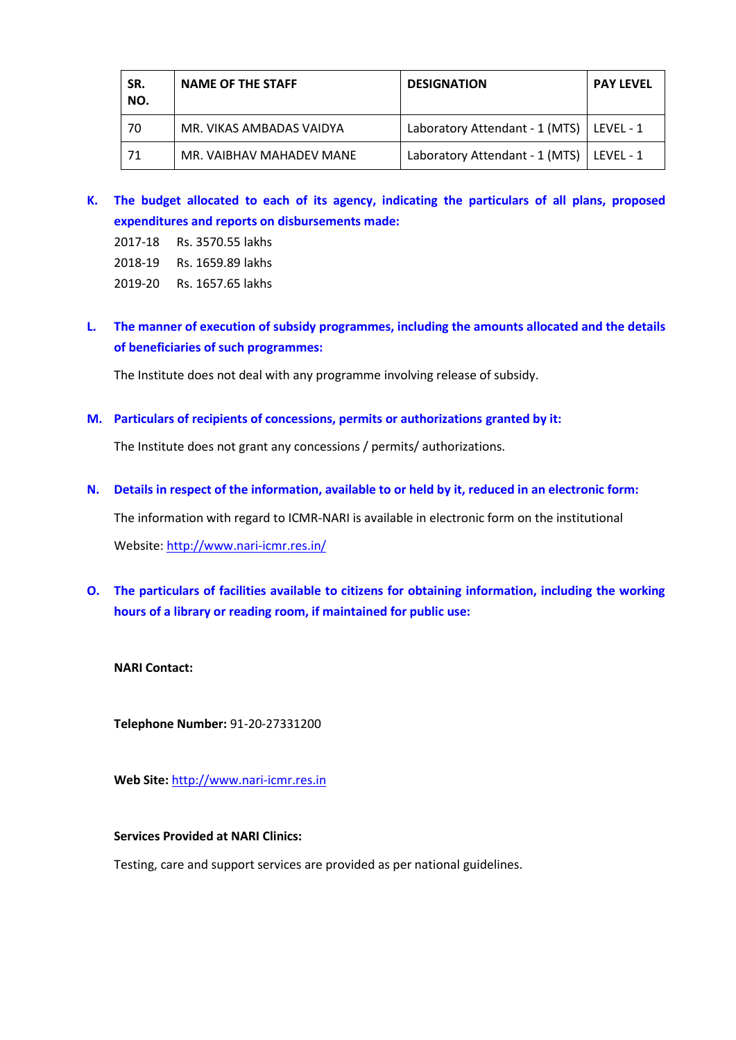| SR.<br>NO. | <b>NAME OF THE STAFF</b> | <b>DESIGNATION</b>             | <b>PAY LEVEL</b> |
|------------|--------------------------|--------------------------------|------------------|
| 70         | MR. VIKAS AMBADAS VAIDYA | Laboratory Attendant - 1 (MTS) | LEVEL - 1        |
| 71         | MR. VAIBHAV MAHADEV MANE | Laboratory Attendant - 1 (MTS) | LEVEL - 1        |

- **K. The budget allocated to each of its agency, indicating the particulars of all plans, proposed expenditures and reports on disbursements made:**
	- 2017-18 Rs. 3570.55 lakhs
	- 2018-19 Rs. 1659.89 lakhs
	- 2019-20 Rs. 1657.65 lakhs
- **L. The manner of execution of subsidy programmes, including the amounts allocated and the details of beneficiaries of such programmes:**

The Institute does not deal with any programme involving release of subsidy.

**M. Particulars of recipients of concessions, permits or authorizations granted by it:**

The Institute does not grant any concessions / permits/ authorizations.

**N. Details in respect of the information, available to or held by it, reduced in an electronic form:**

The information with regard to ICMR-NARI is available in electronic form on the institutional Website[: http://www.nari-icmr.res.in/](http://www.nari-icmr.res.in/)

**O. The particulars of facilities available to citizens for obtaining information, including the working hours of a library or reading room, if maintained for public use:**

**NARI Contact:**

**Telephone Number:** 91-20-27331200

**Web Site:** [http://www.nari-icmr.res.in](http://www.nari-icmr.res.in/)

# **Services Provided at NARI Clinics:**

Testing, care and support services are provided as per national guidelines.